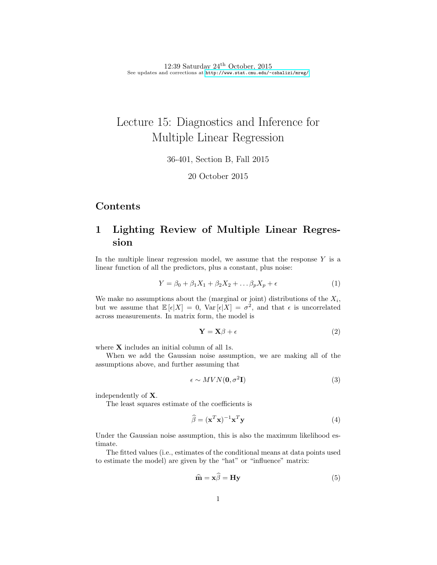12:39 Saturday  $24<sup>th</sup>$  October, 2015 See updates and corrections at <http://www.stat.cmu.edu/~cshalizi/mreg/>

# Lecture 15: Diagnostics and Inference for Multiple Linear Regression

36-401, Section B, Fall 2015

20 October 2015

# Contents

# 1 Lighting Review of Multiple Linear Regression

In the multiple linear regression model, we assume that the response  $Y$  is a linear function of all the predictors, plus a constant, plus noise:

$$
Y = \beta_0 + \beta_1 X_1 + \beta_2 X_2 + \dots \beta_p X_p + \epsilon \tag{1}
$$

We make no assumptions about the (marginal or joint) distributions of the  $X_i$ , but we assume that  $\mathbb{E}[\epsilon|X] = 0$ ,  $\text{Var}[\epsilon|X] = \sigma^2$ , and that  $\epsilon$  is uncorrelated across measurements. In matrix form, the model is

$$
\mathbf{Y} = \mathbf{X}\boldsymbol{\beta} + \boldsymbol{\epsilon} \tag{2}
$$

where **X** includes an initial column of all 1s.

When we add the Gaussian noise assumption, we are making all of the assumptions above, and further assuming that

$$
\epsilon \sim MVN(\mathbf{0}, \sigma^2 \mathbf{I})\tag{3}
$$

independently of X.

The least squares estimate of the coefficients is

$$
\widehat{\beta} = (\mathbf{x}^T \mathbf{x})^{-1} \mathbf{x}^T \mathbf{y} \tag{4}
$$

Under the Gaussian noise assumption, this is also the maximum likelihood estimate.

The fitted values (i.e., estimates of the conditional means at data points used to estimate the model) are given by the "hat" or "influence" matrix:

$$
\hat{\mathbf{m}} = \mathbf{x}\beta = \mathbf{H}\mathbf{y} \tag{5}
$$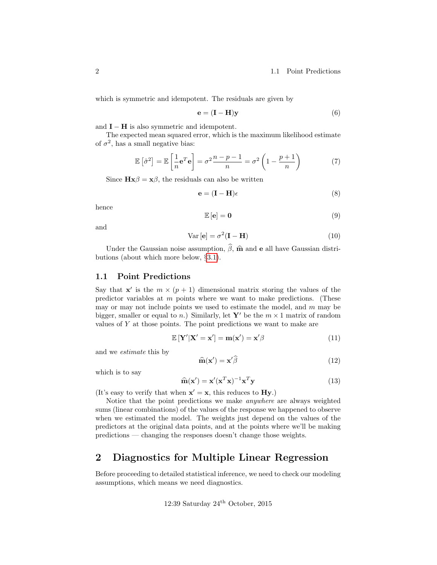2 1.1 Point Predictions

which is symmetric and idempotent. The residuals are given by

$$
\mathbf{e} = (\mathbf{I} - \mathbf{H})\mathbf{y} \tag{6}
$$

and  $\mathbf{I} - \mathbf{H}$  is also symmetric and idempotent.

The expected mean squared error, which is the maximum likelihood estimate of  $\sigma^2$ , has a small negative bias:

$$
\mathbb{E}\left[\hat{\sigma}^2\right] = \mathbb{E}\left[\frac{1}{n}\mathbf{e}^T\mathbf{e}\right] = \sigma^2 \frac{n-p-1}{n} = \sigma^2 \left(1 - \frac{p+1}{n}\right) \tag{7}
$$

Since  $\mathbf{H}\mathbf{x}\beta = \mathbf{x}\beta$ , the residuals can also be written

$$
\mathbf{e} = (\mathbf{I} - \mathbf{H})\epsilon \tag{8}
$$

hence

$$
\mathbb{E}\left[\mathbf{e}\right] = \mathbf{0} \tag{9}
$$

and

<span id="page-1-1"></span>
$$
Var\left[\mathbf{e}\right] = \sigma^2(\mathbf{I} - \mathbf{H})\tag{10}
$$

Under the Gaussian noise assumption,  $\hat{\beta}$ ,  $\hat{\mathbf{m}}$  and **e** all have Gaussian distributions (about which more below, §[3.1\)](#page-8-0).

### <span id="page-1-0"></span>1.1 Point Predictions

Say that  $\mathbf{x}'$  is the  $m \times (p+1)$  dimensional matrix storing the values of the predictor variables at  $m$  points where we want to make predictions. (These may or may not include points we used to estimate the model, and  $m$  may be bigger, smaller or equal to n.) Similarly, let Y' be the  $m \times 1$  matrix of random values of  $Y$  at those points. The point predictions we want to make are

$$
\mathbb{E}\left[\mathbf{Y}'|\mathbf{X}'=\mathbf{x}'\right]=\mathbf{m}(\mathbf{x}')=\mathbf{x}'\beta\tag{11}
$$

and we estimate this by

$$
\widehat{\mathbf{m}}(\mathbf{x}') = \mathbf{x}'\widehat{\boldsymbol{\beta}}\tag{12}
$$

which is to say

$$
\widehat{\mathbf{m}}(\mathbf{x}') = \mathbf{x}'(\mathbf{x}^T \mathbf{x})^{-1} \mathbf{x}^T \mathbf{y}
$$
\n(13)

(It's easy to verify that when  $\mathbf{x}' = \mathbf{x}$ , this reduces to **Hy**.)

Notice that the point predictions we make anywhere are always weighted sums (linear combinations) of the values of the response we happened to observe when we estimated the model. The weights just depend on the values of the predictors at the original data points, and at the points where we'll be making predictions — changing the responses doesn't change those weights.

# 2 Diagnostics for Multiple Linear Regression

Before proceeding to detailed statistical inference, we need to check our modeling assumptions, which means we need diagnostics.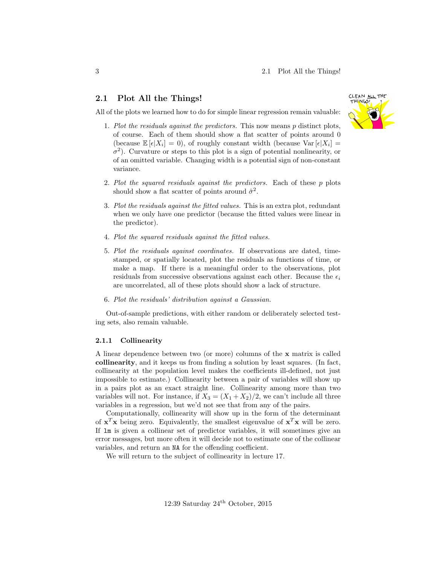### 2.1 Plot All the Things!

All of the plots we learned how to do for simple linear regression remain valuable:

- 1. Plot the residuals against the predictors. This now means p distinct plots, of course. Each of them should show a flat scatter of points around 0 (because  $\mathbb{E}[\epsilon|X_i] = 0$ ), of roughly constant width (because Var $[\epsilon|X_i] =$  $\sigma^2$ ). Curvature or steps to this plot is a sign of potential nonlinearity, or of an omitted variable. Changing width is a potential sign of non-constant variance.
- 2. Plot the squared residuals against the predictors. Each of these p plots should show a flat scatter of points around  $\hat{\sigma}^2$ .
- 3. Plot the residuals against the fitted values. This is an extra plot, redundant when we only have one predictor (because the fitted values were linear in the predictor).
- 4. Plot the squared residuals against the fitted values.
- 5. Plot the residuals against coordinates. If observations are dated, timestamped, or spatially located, plot the residuals as functions of time, or make a map. If there is a meaningful order to the observations, plot residuals from successive observations against each other. Because the  $\epsilon_i$ are uncorrelated, all of these plots should show a lack of structure.
- 6. Plot the residuals' distribution against a Gaussian.

Out-of-sample predictions, with either random or deliberately selected testing sets, also remain valuable.

#### 2.1.1 Collinearity

A linear dependence between two (or more) columns of the x matrix is called collinearity, and it keeps us from finding a solution by least squares. (In fact, collinearity at the population level makes the coefficients ill-defined, not just impossible to estimate.) Collinearity between a pair of variables will show up in a pairs plot as an exact straight line. Collinearity among more than two variables will not. For instance, if  $X_3 = (X_1 + X_2)/2$ , we can't include all three variables in a regression, but we'd not see that from any of the pairs.

Computationally, collinearity will show up in the form of the determinant of  $\mathbf{x}^T\mathbf{x}$  being zero. Equivalently, the smallest eigenvalue of  $\mathbf{x}^T\mathbf{x}$  will be zero. If lm is given a collinear set of predictor variables, it will sometimes give an error messages, but more often it will decide not to estimate one of the collinear variables, and return an NA for the offending coefficient.

We will return to the subject of collinearity in lecture 17.

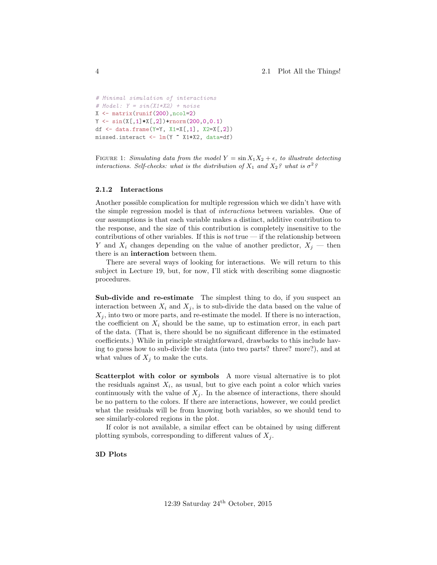```
# Minimal simulation of interactions
# Model: Y = \sin(X1 * X2) + \text{noise}X \leftarrow \text{matrix}(\text{runit}(200), \text{ncol}=2)Y \leftarrow \sin(X[, 1] * X[, 2]) + \text{rnorm}(200, 0, 0.1)df \leq data.frame(Y=Y, X1=X[,1], X2=X[,2])
missed.interact <- lm(Y ~ X1+X2, data=df)
```
FIGURE 1: Simulating data from the model  $Y = \sin X_1 X_2 + \epsilon$ , to illustrate detecting interactions. Self-checks: what is the distribution of  $X_1$  and  $X_2$ ? what is  $\sigma^2$ ?

#### 2.1.2 Interactions

Another possible complication for multiple regression which we didn't have with the simple regression model is that of interactions between variables. One of our assumptions is that each variable makes a distinct, additive contribution to the response, and the size of this contribution is completely insensitive to the contributions of other variables. If this is *not* true — if the relationship between Y and  $X_i$  changes depending on the value of another predictor,  $X_j$  — then there is an interaction between them.

There are several ways of looking for interactions. We will return to this subject in Lecture 19, but, for now, I'll stick with describing some diagnostic procedures.

Sub-divide and re-estimate The simplest thing to do, if you suspect an interaction between  $X_i$  and  $X_j$ , is to sub-divide the data based on the value of  $X_j$ , into two or more parts, and re-estimate the model. If there is no interaction, the coefficient on  $X_i$  should be the same, up to estimation error, in each part of the data. (That is, there should be no significant difference in the estimated coefficients.) While in principle straightforward, drawbacks to this include having to guess how to sub-divide the data (into two parts? three? more?), and at what values of  $X_j$  to make the cuts.

Scatterplot with color or symbols A more visual alternative is to plot the residuals against  $X_i$ , as usual, but to give each point a color which varies continuously with the value of  $X_i$ . In the absence of interactions, there should be no pattern to the colors. If there are interactions, however, we could predict what the residuals will be from knowing both variables, so we should tend to see similarly-colored regions in the plot.

If color is not available, a similar effect can be obtained by using different plotting symbols, corresponding to different values of  $X_i$ .

3D Plots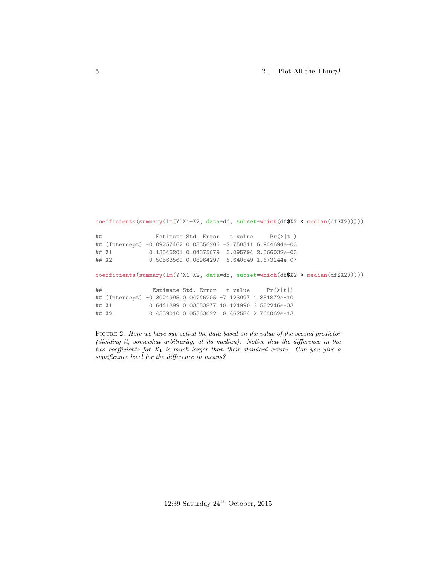5 2.1 Plot All the Things!

```
coefficients(summary(lm(Y~X1+X2, data=df, subset=which(df$X2 < median(df$X2)))))
## Estimate Std. Error t value Pr(>|t|)
## (Intercept) -0.09257462 0.03356206 -2.758311 6.944694e-03
## X1 0.13546201 0.04375679 3.095794 2.566032e-03
## X2 0.50563560 0.08964297 5.640549 1.673144e-07
coefficients(summary(lm(Y~X1+X2, data=df, subset=which(df$X2 > median(df$X2)))))
## Estimate Std. Error t value Pr(>|t|)
## (Intercept) -0.3024995 0.04246205 -7.123997 1.851872e-10
## X1 0.6441399 0.03553877 18.124990 6.582246e-33
              0.4539010 0.05363622 8.462584 2.764062e-13
```
FIGURE 2: Here we have sub-setted the data based on the value of the second predictor (dividing it, somewhat arbitrarily, at its median). Notice that the difference in the two coefficients for  $X_1$  is much larger than their standard errors. Can you give a significance level for the difference in means?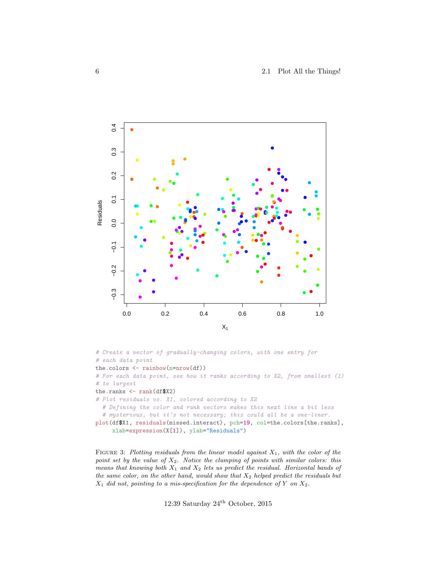

```
# Create a vector of gradually-changing colors, with one entry for
# each data point
the.colors <- rainbow(n=nrow(df))
# For each data point, see how it ranks according to X2, from smallest (1)
# to largest
the.ranks <- rank(df$X2)
# Plot residuals vs. X1, colored according to X2
  # Defining the color and rank vectors makes this next line a bit less
  # mysterious, but it's not necessary; this could all be a one-liner.
plot(df$X1, residuals(missed.interact), pch=19, col=the.colors[the.ranks],
     xlab=expression(X[1]), ylab="Residuals")
```
FIGURE 3: Plotting residuals from the linear model against  $X_1$ , with the color of the point set by the value of  $X_2$ . Notice the clumping of points with similar colors: this means that knowing both  $X_1$  and  $X_2$  lets us predict the residual. Horizontal bands of the same color, on the other hand, would show that  $X_2$  helped predict the residuals but  $X_1$  did not, pointing to a mis-specification for the dependence of Y on  $X_2$ .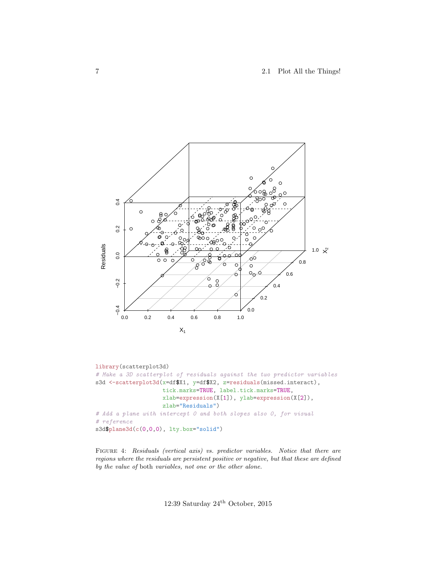7 2.1 Plot All the Things!



```
library(scatterplot3d)
# Make a 3D scatterplot of residuals against the two predictor variables
s3d <-scatterplot3d(x=df$X1, y=df$X2, z=residuals(missed.interact),
                    tick.marks=TRUE, label.tick.marks=TRUE,
                    xlab=expression(X[1]), ylab=expression(X[2]),
                    zlab="Residuals")
# Add a plane with intercept 0 and both slopes also 0, for visual
# reference
s3d$plane3d(c(0,0,0), lty.box="solid")
```
FIGURE 4: Residuals (vertical axis) vs. predictor variables. Notice that there are regions where the residuals are persistent positive or negative, but that these are defined by the value of both variables, not one or the other alone.

12:39 Saturday  $24<sup>th</sup>$  October, 2015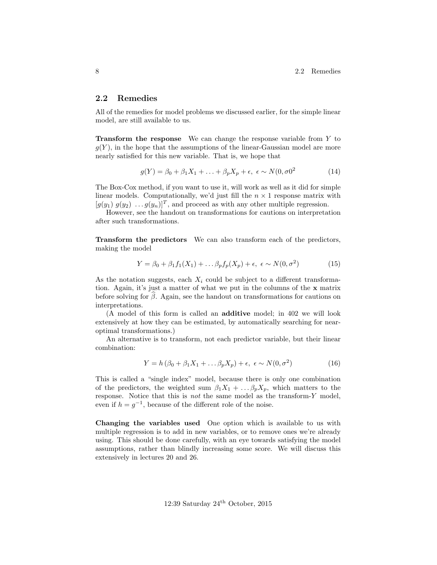### 2.2 Remedies

All of the remedies for model problems we discussed earlier, for the simple linear model, are still available to us.

Transform the response We can change the response variable from Y to  $g(Y)$ , in the hope that the assumptions of the linear-Gaussian model are more nearly satisfied for this new variable. That is, we hope that

$$
g(Y) = \beta_0 + \beta_1 X_1 + \ldots + \beta_p X_p + \epsilon, \ \epsilon \sim N(0, \sigma)^2 \tag{14}
$$

The Box-Cox method, if you want to use it, will work as well as it did for simple linear models. Computationally, we'd just fill the  $n \times 1$  response matrix with  $[g(y_1) \ g(y_2) \dots g(y_n)]^T$ , and proceed as with any other multiple regression.

However, see the handout on transformations for cautions on interpretation after such transformations.

Transform the predictors We can also transform each of the predictors, making the model

$$
Y = \beta_0 + \beta_1 f_1(X_1) + \dots \beta_p f_p(X_p) + \epsilon, \ \epsilon \sim N(0, \sigma^2)
$$
 (15)

As the notation suggests, each  $X_i$  could be subject to a different transformation. Again, it's just a matter of what we put in the columns of the x matrix before solving for  $\beta$ . Again, see the handout on transformations for cautions on interpretations.

(A model of this form is called an additive model; in 402 we will look extensively at how they can be estimated, by automatically searching for nearoptimal transformations.)

An alternative is to transform, not each predictor variable, but their linear combination:

$$
Y = h\left(\beta_0 + \beta_1 X_1 + \dots \beta_p X_p\right) + \epsilon, \ \epsilon \sim N(0, \sigma^2)
$$
\n(16)

This is called a "single index" model, because there is only one combination of the predictors, the weighted sum  $\beta_1 X_1 + \dots \beta_p X_p$ , which matters to the response. Notice that this is not the same model as the transform-Y model, even if  $h = g^{-1}$ , because of the different role of the noise.

Changing the variables used One option which is available to us with multiple regression is to add in new variables, or to remove ones we're already using. This should be done carefully, with an eye towards satisfying the model assumptions, rather than blindly increasing some score. We will discuss this extensively in lectures 20 and 26.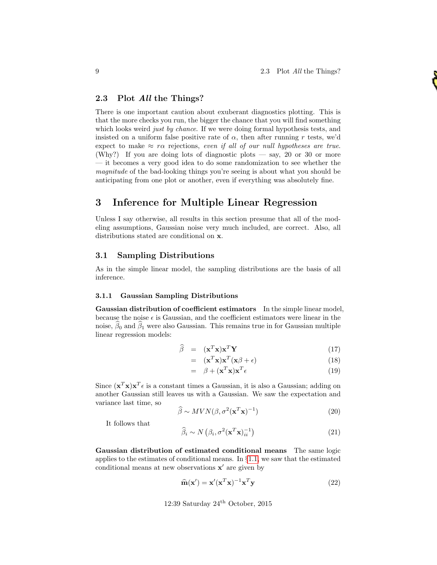## 2.3 Plot All the Things?

There is one important caution about exuberant diagnostics plotting. This is that the more checks you run, the bigger the chance that you will find something which looks weird just by chance. If we were doing formal hypothesis tests, and insisted on a uniform false positive rate of  $\alpha$ , then after running r tests, we'd expect to make  $\approx r\alpha$  rejections, even if all of our null hypotheses are true. (Why?) If you are doing lots of diagnostic plots — say, 20 or 30 or more — it becomes a very good idea to do some randomization to see whether the magnitude of the bad-looking things you're seeing is about what you should be anticipating from one plot or another, even if everything was absolutely fine.

# 3 Inference for Multiple Linear Regression

Unless I say otherwise, all results in this section presume that all of the modeling assumptions, Gaussian noise very much included, are correct. Also, all distributions stated are conditional on x.

### <span id="page-8-0"></span>3.1 Sampling Distributions

As in the simple linear model, the sampling distributions are the basis of all inference.

#### 3.1.1 Gaussian Sampling Distributions

Gaussian distribution of coefficient estimators In the simple linear model, because the noise  $\epsilon$  is Gaussian, and the coefficient estimators were linear in the noise,  $\beta_0$  and  $\beta_1$  were also Gaussian. This remains true in for Gaussian multiple linear regression models:

$$
\widehat{\beta} = (\mathbf{x}^T \mathbf{x}) \mathbf{x}^T \mathbf{Y} \tag{17}
$$

$$
= (\mathbf{x}^T \mathbf{x}) \mathbf{x}^T (\mathbf{x} \beta + \epsilon) \tag{18}
$$

$$
= \beta + (\mathbf{x}^T \mathbf{x}) \mathbf{x}^T \epsilon \tag{19}
$$

Since  $(\mathbf{x}^T\mathbf{x})\mathbf{x}^T\epsilon$  is a constant times a Gaussian, it is also a Gaussian; adding on another Gaussian still leaves us with a Gaussian. We saw the expectation and variance last time, so

$$
\widehat{\beta} \sim MVN(\beta, \sigma^2(\mathbf{x}^T \mathbf{x})^{-1})
$$
\n(20)

It follows that

<span id="page-8-1"></span>
$$
\widehat{\beta}_i \sim N\left(\beta_i, \sigma^2(\mathbf{x}^T \mathbf{x})_{ii}^{-1}\right) \tag{21}
$$

Gaussian distribution of estimated conditional means The same logic applies to the estimates of conditional means. In §[1.1,](#page-1-0) we saw that the estimated conditional means at new observations  $x'$  are given by

$$
\widehat{\mathbf{m}}(\mathbf{x}') = \mathbf{x}'(\mathbf{x}^T \mathbf{x})^{-1} \mathbf{x}^T \mathbf{y}
$$
 (22)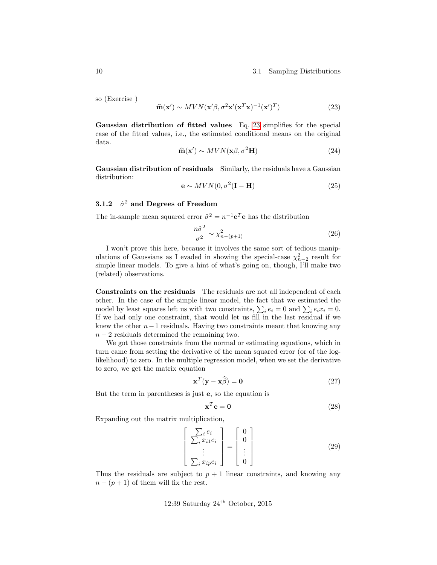#### 10 3.1 Sampling Distributions

so (Exercise )

<span id="page-9-0"></span>
$$
\widehat{\mathbf{m}}(\mathbf{x}') \sim MVN(\mathbf{x}'\beta, \sigma^2\mathbf{x}'(\mathbf{x}^T\mathbf{x})^{-1}(\mathbf{x}')^T)
$$
\n(23)

Gaussian distribution of fitted values Eq. [23](#page-9-0) simplifies for the special case of the fitted values, i.e., the estimated conditional means on the original data.

$$
\widehat{\mathbf{m}}(\mathbf{x}') \sim MVN(\mathbf{x}\beta, \sigma^2\mathbf{H})
$$
\n(24)

Gaussian distribution of residuals Similarly, the residuals have a Gaussian distribution:

$$
\mathbf{e} \sim MVN(0, \sigma^2(\mathbf{I} - \mathbf{H})
$$
\n(25)

### 3.1.2  $\hat{\sigma}^2$  and Degrees of Freedom

The in-sample mean squared error  $\hat{\sigma}^2 = n^{-1} \mathbf{e}^T \mathbf{e}$  has the distribution

$$
\frac{n\hat{\sigma}^2}{\sigma^2} \sim \chi^2_{n-(p+1)}\tag{26}
$$

I won't prove this here, because it involves the same sort of tedious manipulations of Gaussians as I evaded in showing the special-case  $\chi^2_{n-2}$  result for simple linear models. To give a hint of what's going on, though, I'll make two (related) observations.

Constraints on the residuals The residuals are not all independent of each other. In the case of the simple linear model, the fact that we estimated the model by least squares left us with two constraints,  $\sum_i e_i = 0$  and  $\sum_i e_i x_i = 0$ . If we had only one constraint, that would let us fill in the last residual if we knew the other  $n-1$  residuals. Having two constraints meant that knowing any  $n-2$  residuals determined the remaining two.

We got those constraints from the normal or estimating equations, which in turn came from setting the derivative of the mean squared error (or of the loglikelihood) to zero. In the multiple regression model, when we set the derivative to zero, we get the matrix equation

$$
\mathbf{x}^T(\mathbf{y} - \mathbf{x}\hat{\beta}) = \mathbf{0}
$$
 (27)

But the term in parentheses is just e, so the equation is

$$
\mathbf{x}^T \mathbf{e} = \mathbf{0} \tag{28}
$$

Expanding out the matrix multiplication,

$$
\begin{bmatrix}\n\sum_{i} e_{i} \\
\sum_{i} x_{i1} e_{i} \\
\vdots \\
\sum_{i} x_{ip} e_{i}\n\end{bmatrix} = \begin{bmatrix}\n0 \\
0 \\
\vdots \\
0\n\end{bmatrix}
$$
\n(29)

Thus the residuals are subject to  $p + 1$  linear constraints, and knowing any  $n - (p + 1)$  of them will fix the rest.

## 12:39 Saturday  $24^{\text{th}}$  October, 2015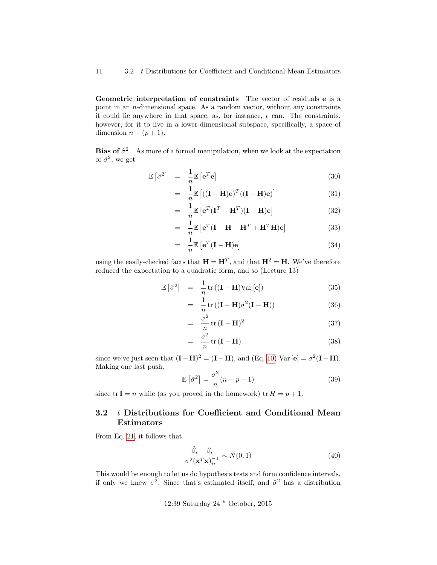Geometric interpretation of constraints The vector of residuals e is a point in an n-dimensional space. As a random vector, without any constraints it could lie anywhere in that space, as, for instance,  $\epsilon$  can. The constraints, however, for it to live in a lower-dimensional subspace, specifically, a space of dimension  $n - (p + 1)$ .

**Bias of**  $\hat{\sigma}^2$  As more of a formal manipulation, when we look at the expectation of  $\hat{\sigma}^2$ , we get

$$
\mathbb{E}\left[\hat{\sigma}^2\right] = \frac{1}{n}\mathbb{E}\left[\mathbf{e}^T\mathbf{e}\right]
$$
 (30)

$$
= \frac{1}{n} \mathbb{E}\left[ ((\mathbf{I} - \mathbf{H})\mathbf{e})^T ((\mathbf{I} - \mathbf{H})\mathbf{e}) \right]
$$
(31)

$$
= \frac{1}{n} \mathbb{E} \left[ \mathbf{e}^T (\mathbf{I}^T - \mathbf{H}^T) (\mathbf{I} - \mathbf{H}) \mathbf{e} \right]
$$
 (32)

$$
= \frac{1}{n} \mathbb{E} \left[ \mathbf{e}^T (\mathbf{I} - \mathbf{H} - \mathbf{H}^T + \mathbf{H}^T \mathbf{H}) \mathbf{e} \right]
$$
(33)

$$
= \frac{1}{n} \mathbb{E} \left[ \mathbf{e}^T (\mathbf{I} - \mathbf{H}) \mathbf{e} \right]
$$
 (34)

using the easily-checked facts that  $\mathbf{H} = \mathbf{H}^T$ , and that  $\mathbf{H}^2 = \mathbf{H}$ . We've therefore reduced the expectation to a quadratic form, and so (Lecture 13)

$$
\mathbb{E}\left[\hat{\sigma}^2\right] = \frac{1}{n}\operatorname{tr}\left((\mathbf{I} - \mathbf{H})\operatorname{Var}\left[\mathbf{e}\right]\right) \tag{35}
$$

$$
= \frac{1}{n} \operatorname{tr} \left( (\mathbf{I} - \mathbf{H}) \sigma^2 (\mathbf{I} - \mathbf{H}) \right) \tag{36}
$$

$$
= \frac{\sigma^2}{n} tr (\mathbf{I} - \mathbf{H})^2
$$
 (37)

$$
= \frac{\sigma^2}{n} tr(\mathbf{I} - \mathbf{H}) \tag{38}
$$

since we've just seen that  $(I - H)^2 = (I - H)$ , and  $(Eq. 10)$  $(Eq. 10)$  Var  $[e] = \sigma^2 (I - H)$ . Making one last push,

$$
\mathbb{E}\left[\hat{\sigma}^2\right] = \frac{\sigma^2}{n}(n-p-1)
$$
\n(39)

since  $tr I = n$  while (as you proved in the homework)  $tr H = p + 1$ .

# 3.2 t Distributions for Coefficient and Conditional Mean Estimators

From Eq. [21,](#page-8-1) it follows that

$$
\frac{\hat{\beta}_i - \beta_i}{\sigma^2 (\mathbf{x}^T \mathbf{x})_{ii}^{-1}} \sim N(0, 1)
$$
\n(40)

This would be enough to let us do hypothesis tests and form confidence intervals, if only we knew  $\sigma^2$ , Since that's estimated itself, and  $\hat{\sigma}^2$  has a distribution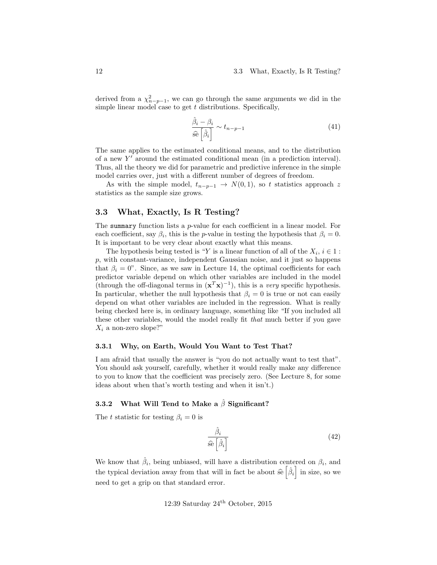derived from a  $\chi^2_{n-p-1}$ , we can go through the same arguments we did in the simple linear model case to get  $t$  distributions. Specifically,

$$
\frac{\hat{\beta}_i - \beta_i}{\hat{\text{se}}\left[\hat{\beta}_i\right]} \sim t_{n-p-1} \tag{41}
$$

The same applies to the estimated conditional means, and to the distribution of a new  $Y'$  around the estimated conditional mean (in a prediction interval). Thus, all the theory we did for parametric and predictive inference in the simple model carries over, just with a different number of degrees of freedom.

As with the simple model,  $t_{n-p-1} \rightarrow N(0, 1)$ , so t statistics approach z statistics as the sample size grows.

### 3.3 What, Exactly, Is R Testing?

The summary function lists a *p*-value for each coefficient in a linear model. For each coefficient, say  $\beta_i$ , this is the *p*-value in testing the hypothesis that  $\beta_i = 0$ . It is important to be very clear about exactly what this means.

The hypothesis being tested is "Y is a linear function of all of the  $X_i$ ,  $i \in 1$ : p, with constant-variance, independent Gaussian noise, and it just so happens that  $\beta_i = 0$ ". Since, as we saw in Lecture 14, the optimal coefficients for each predictor variable depend on which other variables are included in the model (through the off-diagonal terms in  $(\mathbf{x}^T \mathbf{x})^{-1}$ ), this is a *very* specific hypothesis. In particular, whether the null hypothesis that  $\beta_i = 0$  is true or not can easily depend on what other variables are included in the regression. What is really being checked here is, in ordinary language, something like "If you included all these other variables, would the model really fit that much better if you gave  $X_i$  a non-zero slope?"

#### 3.3.1 Why, on Earth, Would You Want to Test That?

I am afraid that usually the answer is "you do not actually want to test that". You should ask yourself, carefully, whether it would really make any difference to you to know that the coefficient was precisely zero. (See Lecture 8, for some ideas about when that's worth testing and when it isn't.)

### 3.3.2 What Will Tend to Make a  $\hat{\beta}$  Significant?

The t statistic for testing  $\beta_i = 0$  is

$$
\frac{\hat{\beta}_i}{\hat{\mathbf{s}} \hat{\mathbf{e}} \left[ \hat{\beta}_i \right]}\tag{42}
$$

We know that  $\hat{\beta}_i$ , being unbiased, will have a distribution centered on  $\beta_i$ , and the typical deviation away from that will in fact be about  $\hat{\mathfrak{se}}\left[\hat{\beta}_i\right]$  in size, so we need to get a grip on that standard error.

12:39 Saturday 
$$
24^{\text{th}}
$$
 October, 2015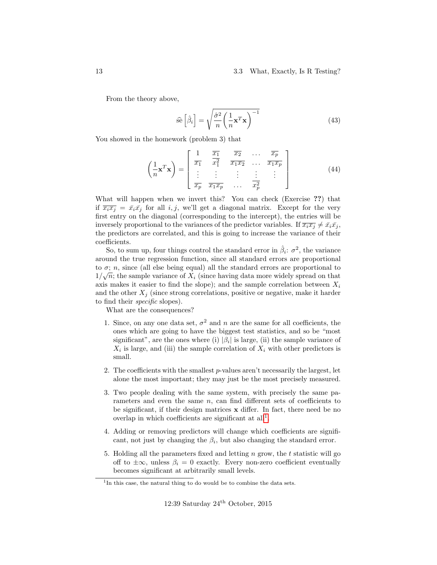#### 13 3.3 What, Exactly, Is R Testing?

From the theory above,

$$
\hat{\mathbf{se}}\left[\hat{\beta}_i\right] = \sqrt{\frac{\hat{\sigma}^2}{n} \left(\frac{1}{n}\mathbf{x}^T\mathbf{x}\right)^{-1}}\tag{43}
$$

You showed in the homework (problem 3) that

$$
\left(\frac{1}{n}\mathbf{x}^T\mathbf{x}\right) = \begin{bmatrix} 1 & \frac{\overline{x_1}}{\overline{x_1}} & \frac{\overline{x_2}}{\overline{x_1}} & \cdots & \frac{\overline{x_p}}{\overline{x_1 x_2}} \\ \vdots & \vdots & \vdots & \vdots \\ \frac{\overline{x_p}}{\overline{x_p}} & \frac{\overline{x_1 x_p}}{\overline{x_1 x_p}} & \cdots & \frac{\overline{x_p}}{\overline{x_p^2}} \end{bmatrix}
$$
(44)

What will happen when we invert this? You can check (Exercise ??) that if  $\overline{x_i x_j} = \overline{x_i} \overline{x_j}$  for all i, j, we'll get a diagonal matrix. Except for the very first entry on the diagonal (corresponding to the intercept), the entries will be inversely proportional to the variances of the predictor variables. If  $\overline{x_i x_j} \neq \overline{x_i} \overline{x_j}$ , the predictors are correlated, and this is going to increase the variance of their coefficients.

So, to sum up, four things control the standard error in  $\hat{\beta}_i$ :  $\sigma^2$ , the variance around the true regression function, since all standard errors are proportional to  $\sigma$ ; *n*, since (all else being equal) all the standard errors are proportional to  $1/\sqrt{n}$ ; the sample variance of  $X_i$  (since having data more widely spread on that axis makes it easier to find the slope); and the sample correlation between  $X_i$ and the other  $X_i$  (since strong correlations, positive or negative, make it harder to find their specific slopes).

What are the consequences?

- 1. Since, on any one data set,  $\sigma^2$  and n are the same for all coefficients, the ones which are going to have the biggest test statistics, and so be "most significant", are the ones where (i)  $|\beta_i|$  is large, (ii) the sample variance of  $X_i$  is large, and (iii) the sample correlation of  $X_i$  with other predictors is small.
- 2. The coefficients with the smallest  $p$ -values aren't necessarily the largest, let alone the most important; they may just be the most precisely measured.
- 3. Two people dealing with the same system, with precisely the same parameters and even the same  $n$ , can find different sets of coefficients to be significant, if their design matrices x differ. In fact, there need be no overlap in which coefficients are significant at  $all<sup>1</sup>$  $all<sup>1</sup>$  $all<sup>1</sup>$ .
- 4. Adding or removing predictors will change which coefficients are significant, not just by changing the  $\beta_i$ , but also changing the standard error.
- 5. Holding all the parameters fixed and letting n grow, the t statistic will go off to  $\pm\infty$ , unless  $\beta_i = 0$  exactly. Every non-zero coefficient eventually becomes significant at arbitrarily small levels.

<span id="page-12-0"></span><sup>&</sup>lt;sup>1</sup>In this case, the natural thing to do would be to combine the data sets.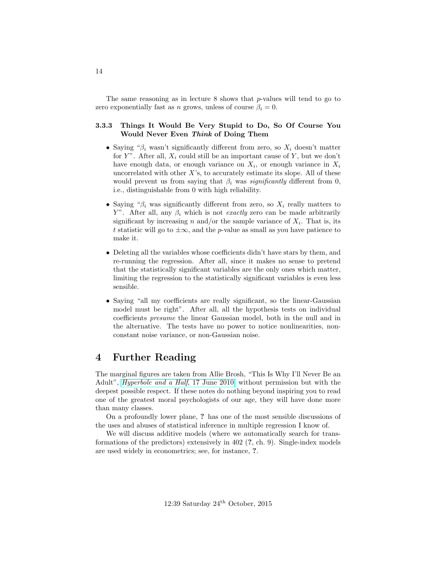The same reasoning as in lecture  $8$  shows that p-values will tend to go to zero exponentially fast as n grows, unless of course  $\beta_i = 0$ .

### 3.3.3 Things It Would Be Very Stupid to Do, So Of Course You Would Never Even Think of Doing Them

- Saying " $\beta_i$  wasn't significantly different from zero, so  $X_i$  doesn't matter for Y". After all,  $X_i$  could still be an important cause of Y, but we don't have enough data, or enough variance on  $X_i$ , or enough variance in  $X_i$ uncorrelated with other  $X$ 's, to accurately estimate its slope. All of these would prevent us from saying that  $\beta_i$  was *significantly* different from 0, i.e., distinguishable from 0 with high reliability.
- Saying " $\beta_i$  was significantly different from zero, so  $X_i$  really matters to Y". After all, any  $\beta_i$  which is not *exactly* zero can be made arbitrarily significant by increasing n and/or the sample variance of  $X_i$ . That is, its t statistic will go to  $\pm \infty$ , and the p-value as small as you have patience to make it.
- Deleting all the variables whose coefficients didn't have stars by them, and re-running the regression. After all, since it makes no sense to pretend that the statistically significant variables are the only ones which matter, limiting the regression to the statistically significant variables is even less sensible.
- Saying "all my coefficients are really significant, so the linear-Gaussian model must be right". After all, all the hypothesis tests on individual coefficients presume the linear Gaussian model, both in the null and in the alternative. The tests have no power to notice nonlinearities, nonconstant noise variance, or non-Gaussian noise.

# 4 Further Reading

The marginal figures are taken from Allie Brosh, "This Is Why I'll Never Be an Adult", [Hyperbole and a Half](http://hyperboleandahalf.blogspot.com/2010/06/this-is-why-ill-never-be-adult.html), 17 June 2010, without permission but with the deepest possible respect. If these notes do nothing beyond inspiring you to read one of the greatest moral psychologists of our age, they will have done more than many classes.

On a profoundly lower plane, ? has one of the most sensible discussions of the uses and abuses of statistical inference in multiple regression I know of.

We will discuss additive models (where we automatically search for transformations of the predictors) extensively in 402 (?, ch. 9). Single-index models are used widely in econometrics; see, for instance, ?.